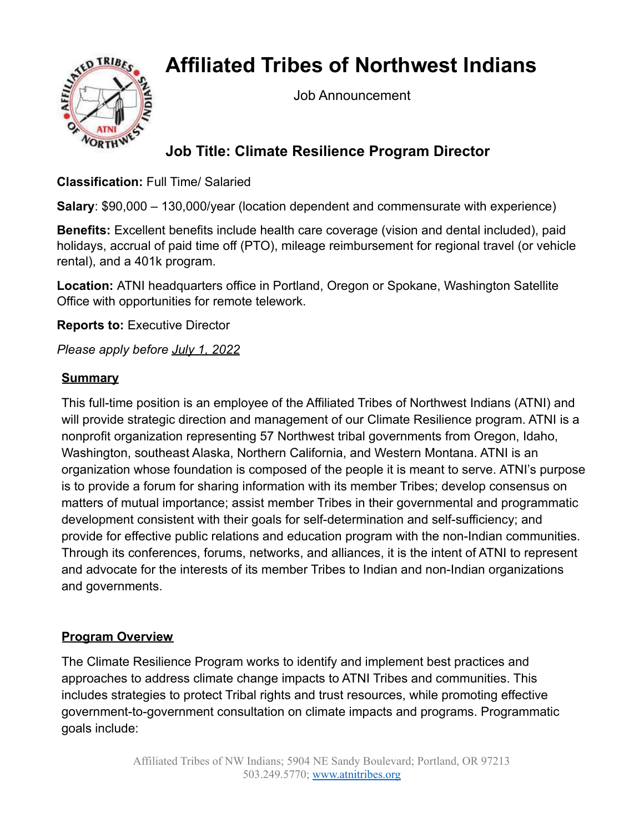# **Affiliated Tribes of Northwest Indians**



Job Announcement

## **Job Title: Climate Resilience Program Director**

**Classification:** Full Time/ Salaried

**Salary**: \$90,000 – 130,000/year (location dependent and commensurate with experience)

**Benefits:** Excellent benefits include health care coverage (vision and dental included), paid holidays, accrual of paid time off (PTO), mileage reimbursement for regional travel (or vehicle rental), and a 401k program.

**Location:** ATNI headquarters office in Portland, Oregon or Spokane, Washington Satellite Office with opportunities for remote telework.

**Reports to:** Executive Director

*Please apply before July 1, 2022*

#### **Summary**

This full-time position is an employee of the Affiliated Tribes of Northwest Indians (ATNI) and will provide strategic direction and management of our Climate Resilience program. ATNI is a nonprofit organization representing 57 Northwest tribal governments from Oregon, Idaho, Washington, southeast Alaska, Northern California, and Western Montana. ATNI is an organization whose foundation is composed of the people it is meant to serve. ATNI's purpose is to provide a forum for sharing information with its member Tribes; develop consensus on matters of mutual importance; assist member Tribes in their governmental and programmatic development consistent with their goals for self-determination and self-sufficiency; and provide for effective public relations and education program with the non-Indian communities. Through its conferences, forums, networks, and alliances, it is the intent of ATNI to represent and advocate for the interests of its member Tribes to Indian and non-Indian organizations and governments.

#### **Program Overview**

The Climate Resilience Program works to identify and implement best practices and approaches to address climate change impacts to ATNI Tribes and communities. This includes strategies to protect Tribal rights and trust resources, while promoting effective government-to-government consultation on climate impacts and programs. Programmatic goals include: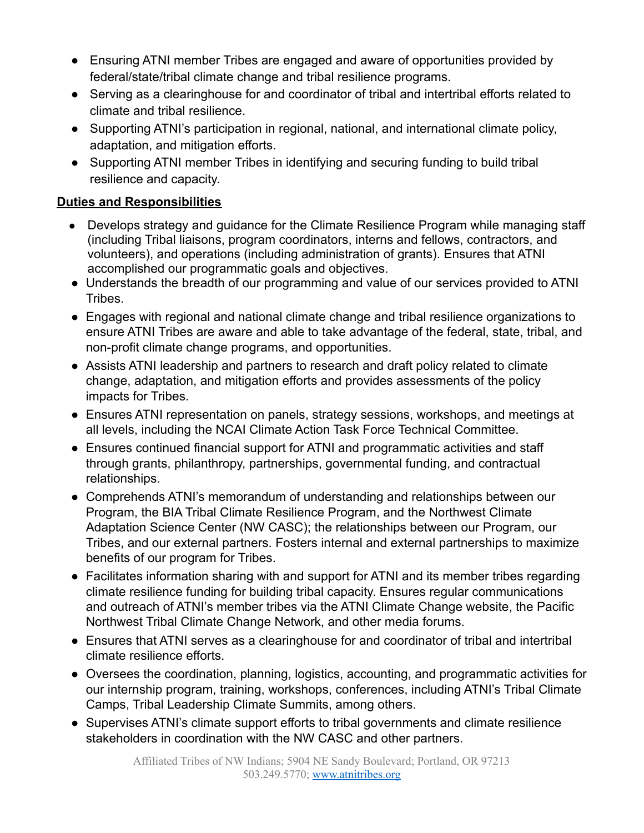- Ensuring ATNI member Tribes are engaged and aware of opportunities provided by federal/state/tribal climate change and tribal resilience programs.
- Serving as a clearinghouse for and coordinator of tribal and intertribal efforts related to climate and tribal resilience.
- Supporting ATNI's participation in regional, national, and international climate policy, adaptation, and mitigation efforts.
- Supporting ATNI member Tribes in identifying and securing funding to build tribal resilience and capacity.

### **Duties and Responsibilities**

- Develops strategy and guidance for the Climate Resilience Program while managing staff (including Tribal liaisons, program coordinators, interns and fellows, contractors, and volunteers), and operations (including administration of grants). Ensures that ATNI accomplished our programmatic goals and objectives.
- Understands the breadth of our programming and value of our services provided to ATNI Tribes.
- Engages with regional and national climate change and tribal resilience organizations to ensure ATNI Tribes are aware and able to take advantage of the federal, state, tribal, and non-profit climate change programs, and opportunities.
- Assists ATNI leadership and partners to research and draft policy related to climate change, adaptation, and mitigation efforts and provides assessments of the policy impacts for Tribes.
- Ensures ATNI representation on panels, strategy sessions, workshops, and meetings at all levels, including the NCAI Climate Action Task Force Technical Committee.
- Ensures continued financial support for ATNI and programmatic activities and staff through grants, philanthropy, partnerships, governmental funding, and contractual relationships.
- Comprehends ATNI's memorandum of understanding and relationships between our Program, the BIA Tribal Climate Resilience Program, and the Northwest Climate Adaptation Science Center (NW CASC); the relationships between our Program, our Tribes, and our external partners. Fosters internal and external partnerships to maximize benefits of our program for Tribes.
- Facilitates information sharing with and support for ATNI and its member tribes regarding climate resilience funding for building tribal capacity. Ensures regular communications and outreach of ATNI's member tribes via the ATNI Climate Change website, the Pacific Northwest Tribal Climate Change Network, and other media forums.
- Ensures that ATNI serves as a clearinghouse for and coordinator of tribal and intertribal climate resilience efforts.
- Oversees the coordination, planning, logistics, accounting, and programmatic activities for our internship program, training, workshops, conferences, including ATNI's Tribal Climate Camps, Tribal Leadership Climate Summits, among others.
- Supervises ATNI's climate support efforts to tribal governments and climate resilience stakeholders in coordination with the NW CASC and other partners.